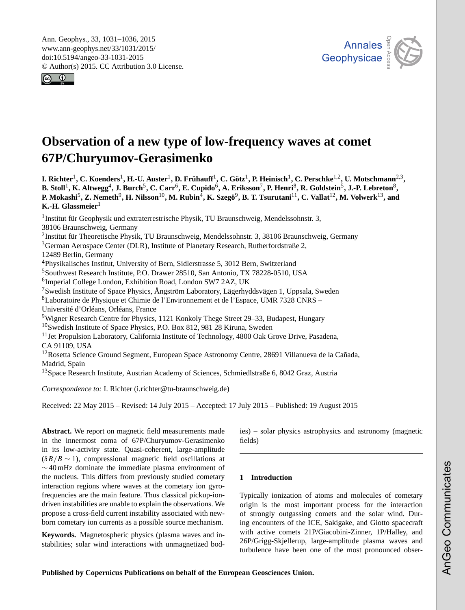<span id="page-0-1"></span>Ann. Geophys., 33, 1031–1036, 2015 www.ann-geophys.net/33/1031/2015/ doi:10.5194/angeo-33-1031-2015 © Author(s) 2015. CC Attribution 3.0 License.





# **Observation of a new type of low-frequency waves at comet 67P/Churyumov-Gerasimenko**

 ${\bf I. Richter}^1, {\bf C. Koenders}^1, {\bf H.-U. Auster}^1, {\bf D. Frühauff}^1, {\bf C. Götz}^1, {\bf P. Heinisch}^1, {\bf C. Perschke}^{1,2}, {\bf U. Motschmann}^{2,3},$  ${\bf I. Richter}^1, {\bf C. Koenders}^1, {\bf H.-U. Auster}^1, {\bf D. Frühauff}^1, {\bf C. Götz}^1, {\bf P. Heinisch}^1, {\bf C. Perschke}^{1,2}, {\bf U. Motschmann}^{2,3},$  ${\bf I. Richter}^1, {\bf C. Koenders}^1, {\bf H.-U. Auster}^1, {\bf D. Frühauff}^1, {\bf C. Götz}^1, {\bf P. Heinisch}^1, {\bf C. Perschke}^{1,2}, {\bf U. Motschmann}^{2,3},$  ${\bf I. Richter}^1, {\bf C. Koenders}^1, {\bf H.-U. Auster}^1, {\bf D. Frühauff}^1, {\bf C. Götz}^1, {\bf P. Heinisch}^1, {\bf C. Perschke}^{1,2}, {\bf U. Motschmann}^{2,3},$  ${\bf I. Richter}^1, {\bf C. Koenders}^1, {\bf H.-U. Auster}^1, {\bf D. Frühauff}^1, {\bf C. Götz}^1, {\bf P. Heinisch}^1, {\bf C. Perschke}^{1,2}, {\bf U. Motschmann}^{2,3},$  ${\bf I. Richter}^1, {\bf C. Koenders}^1, {\bf H.-U. Auster}^1, {\bf D. Frühauff}^1, {\bf C. Götz}^1, {\bf P. Heinisch}^1, {\bf C. Perschke}^{1,2}, {\bf U. Motschmann}^{2,3},$  ${\bf I. Richter}^1, {\bf C. Koenders}^1, {\bf H.-U. Auster}^1, {\bf D. Frühauff}^1, {\bf C. Götz}^1, {\bf P. Heinisch}^1, {\bf C. Perschke}^{1,2}, {\bf U. Motschmann}^{2,3},$  ${\bf B.~Stoll}^1,$  ${\bf B.~Stoll}^1,$  ${\bf B.~Stoll}^1,$   ${\bf K.~Altwegg^4, J.~Burch^5, C.~Carr^6, E.~Cupido^6, A.~Eriksson^7, P. Henri^8, R. Goldstein^5, J.-P. Lebreton^8,$  ${\bf K.~Altwegg^4, J.~Burch^5, C.~Carr^6, E.~Cupido^6, A.~Eriksson^7, P. Henri^8, R. Goldstein^5, J.-P. Lebreton^8,$  ${\bf K.~Altwegg^4, J.~Burch^5, C.~Carr^6, E.~Cupido^6, A.~Eriksson^7, P. Henri^8, R. Goldstein^5, J.-P. Lebreton^8,$  ${\bf K.~Altwegg^4, J.~Burch^5, C.~Carr^6, E.~Cupido^6, A.~Eriksson^7, P. Henri^8, R. Goldstein^5, J.-P. Lebreton^8,$  ${\bf K.~Altwegg^4, J.~Burch^5, C.~Carr^6, E.~Cupido^6, A.~Eriksson^7, P. Henri^8, R. Goldstein^5, J.-P. Lebreton^8,$  ${\bf K.~Altwegg^4, J.~Burch^5, C.~Carr^6, E.~Cupido^6, A.~Eriksson^7, P. Henri^8, R. Goldstein^5, J.-P. Lebreton^8,$  ${\bf K.~Altwegg^4, J.~Burch^5, C.~Carr^6, E.~Cupido^6, A.~Eriksson^7, P. Henri^8, R. Goldstein^5, J.-P. Lebreton^8,$  ${\bf K.~Altwegg^4, J.~Burch^5, C.~Carr^6, E.~Cupido^6, A.~Eriksson^7, P. Henri^8, R. Goldstein^5, J.-P. Lebreton^8,$  ${\bf K.~Altwegg^4, J.~Burch^5, C.~Carr^6, E.~Cupido^6, A.~Eriksson^7, P. Henri^8, R. Goldstein^5, J.-P. Lebreton^8,$  ${\bf K.~Altwegg^4, J.~Burch^5, C.~Carr^6, E.~Cupido^6, A.~Eriksson^7, P. Henri^8, R. Goldstein^5, J.-P. Lebreton^8,$  ${\bf K.~Altwegg^4, J.~Burch^5, C.~Carr^6, E.~Cupido^6, A.~Eriksson^7, P. Henri^8, R. Goldstein^5, J.-P. Lebreton^8,$  ${\bf P. Mokashi^5, Z. Nemeth^9, H. Nilsson^{10}, M. Rubin^4, K. Szegö^9, B. T. Tsurutani^{11}, C. Vallat^{12}, M. Volwerk^{13}, and$  ${\bf P. Mokashi^5, Z. Nemeth^9, H. Nilsson^{10}, M. Rubin^4, K. Szegö^9, B. T. Tsurutani^{11}, C. Vallat^{12}, M. Volwerk^{13}, and$  ${\bf P. Mokashi^5, Z. Nemeth^9, H. Nilsson^{10}, M. Rubin^4, K. Szegö^9, B. T. Tsurutani^{11}, C. Vallat^{12}, M. Volwerk^{13}, and$  ${\bf P. Mokashi^5, Z. Nemeth^9, H. Nilsson^{10}, M. Rubin^4, K. Szegö^9, B. T. Tsurutani^{11}, C. Vallat^{12}, M. Volwerk^{13}, and$  ${\bf P. Mokashi^5, Z. Nemeth^9, H. Nilsson^{10}, M. Rubin^4, K. Szegö^9, B. T. Tsurutani^{11}, C. Vallat^{12}, M. Volwerk^{13}, and$  ${\bf P. Mokashi^5, Z. Nemeth^9, H. Nilsson^{10}, M. Rubin^4, K. Szegö^9, B. T. Tsurutani^{11}, C. Vallat^{12}, M. Volwerk^{13}, and$  ${\bf P. Mokashi^5, Z. Nemeth^9, H. Nilsson^{10}, M. Rubin^4, K. Szegö^9, B. T. Tsurutani^{11}, C. Vallat^{12}, M. Volwerk^{13}, and$  ${\bf P. Mokashi^5, Z. Nemeth^9, H. Nilsson^{10}, M. Rubin^4, K. Szegö^9, B. T. Tsurutani^{11}, C. Vallat^{12}, M. Volwerk^{13}, and$  ${\bf P. Mokashi^5, Z. Nemeth^9, H. Nilsson^{10}, M. Rubin^4, K. Szegö^9, B. T. Tsurutani^{11}, C. Vallat^{12}, M. Volwerk^{13}, and$  ${\bf P. Mokashi^5, Z. Nemeth^9, H. Nilsson^{10}, M. Rubin^4, K. Szegö^9, B. T. Tsurutani^{11}, C. Vallat^{12}, M. Volwerk^{13}, and$  ${\bf P. Mokashi^5, Z. Nemeth^9, H. Nilsson^{10}, M. Rubin^4, K. Szegö^9, B. T. Tsurutani^{11}, C. Vallat^{12}, M. Volwerk^{13}, and$  ${\bf P. Mokashi^5, Z. Nemeth^9, H. Nilsson^{10}, M. Rubin^4, K. Szegö^9, B. T. Tsurutani^{11}, C. Vallat^{12}, M. Volwerk^{13}, and$  ${\bf P. Mokashi^5, Z. Nemeth^9, H. Nilsson^{10}, M. Rubin^4, K. Szegö^9, B. T. Tsurutani^{11}, C. Vallat^{12}, M. Volwerk^{13}, and$  ${\bf P. Mokashi^5, Z. Nemeth^9, H. Nilsson^{10}, M. Rubin^4, K. Szegö^9, B. T. Tsurutani^{11}, C. Vallat^{12}, M. Volwerk^{13}, and$  ${\bf P. Mokashi^5, Z. Nemeth^9, H. Nilsson^{10}, M. Rubin^4, K. Szegö^9, B. T. Tsurutani^{11}, C. Vallat^{12}, M. Volwerk^{13}, and$ **K.-H. Glassmeier**[1](#page-0-0)

<sup>1</sup>Institut für Geophysik und extraterrestrische Physik, TU Braunschweig, Mendelssohnstr. 3, 38106 Braunschweig, Germany

<sup>2</sup>Institut für Theoretische Physik, TU Braunschweig, Mendelssohnstr. 3, 38106 Braunschweig, Germany

<sup>3</sup>German Aerospace Center (DLR), Institute of Planetary Research, Rutherfordstraße 2,

12489 Berlin, Germany

<sup>4</sup>Physikalisches Institut, University of Bern, Sidlerstrasse 5, 3012 Bern, Switzerland

<sup>5</sup>Southwest Research Institute, P.O. Drawer 28510, San Antonio, TX 78228-0510, USA

6 Imperial College London, Exhibition Road, London SW7 2AZ, UK

<sup>7</sup>Swedish Institute of Space Physics, Ångström Laboratory, Lägerhyddsvägen 1, Uppsala, Sweden

<sup>8</sup>Laboratoire de Physique et Chimie de l'Environnement et de l'Espace, UMR 7328 CNRS –

Université d'Orléans, Orléans, France

<sup>9</sup>Wigner Research Centre for Physics, 1121 Konkoly Thege Street 29–33, Budapest, Hungary

<sup>10</sup>Swedish Institute of Space Physics, P.O. Box 812, 981 28 Kiruna, Sweden

 $11$  Jet Propulsion Laboratory, California Institute of Technology, 4800 Oak Grove Drive, Pasadena, CA 91109, USA

<sup>12</sup>Rosetta Science Ground Segment, European Space Astronomy Centre, 28691 Villanueva de la Cañada, Madrid, Spain

 $13$ Space Research Institute, Austrian Academy of Sciences, Schmiedlstraße 6, 8042 Graz, Austria

*Correspondence to:* I. Richter (i.richter@tu-braunschweig.de)

Received: 22 May 2015 – Revised: 14 July 2015 – Accepted: 17 July 2015 – Published: 19 August 2015

<span id="page-0-0"></span>**Abstract.** We report on magnetic field measurements made in the innermost coma of 67P/Churyumov-Gerasimenko in its low-activity state. Quasi-coherent, large-amplitude  $(\delta B/B \sim 1)$ , compressional magnetic field oscillations at  $\sim$  40 mHz dominate the immediate plasma environment of the nucleus. This differs from previously studied cometary interaction regions where waves at the cometary ion gyrofrequencies are the main feature. Thus classical pickup-iondriven instabilities are unable to explain the observations. We propose a cross-field current instability associated with newborn cometary ion currents as a possible source mechanism.

**Keywords.** Magnetospheric physics (plasma waves and instabilities; solar wind interactions with unmagnetized bodies) – solar physics astrophysics and astronomy (magnetic fields)

# **1 Introduction**

Typically ionization of atoms and molecules of cometary origin is the most important process for the interaction of strongly outgassing comets and the solar wind. During encounters of the ICE, Sakigake, and Giotto spacecraft with active comets 21P/Giacobini-Zinner, 1P/Halley, and 26P/Grigg-Skjellerup, large-amplitude plasma waves and turbulence have been one of the most pronounced obser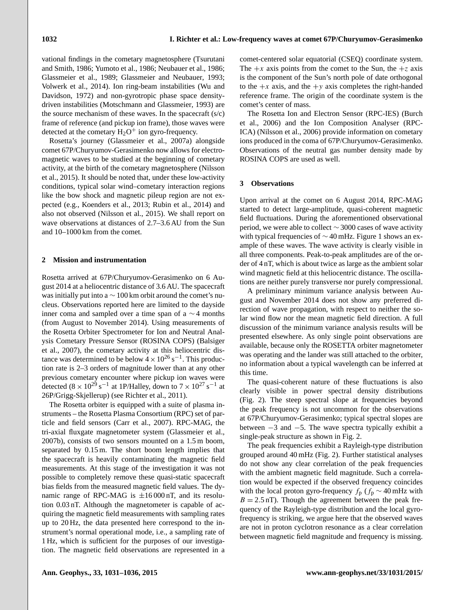vational findings in the cometary magnetosphere [\(Tsurutani](#page-5-0) [and Smith,](#page-5-0) [1986;](#page-5-0) [Yumoto et al.,](#page-5-1) [1986;](#page-5-1) [Neubauer et al.,](#page-4-0) [1986;](#page-4-0) [Glassmeier et al.,](#page-4-1) [1989;](#page-4-1) [Glassmeier and Neubauer,](#page-4-2) [1993;](#page-4-2) [Volwerk et al.,](#page-5-2) [2014\)](#page-5-2). Ion ring-beam instabilities [\(Wu and](#page-5-3) [Davidson,](#page-5-3) [1972\)](#page-5-3) and non-gyrotropic phase space densitydriven instabilities [\(Motschmann and Glassmeier,](#page-4-3) [1993\)](#page-4-3) are the source mechanism of these waves. In the spacecraft (s/c) frame of reference (and pickup ion frame), those waves were detected at the cometary  $H_2O^+$  ion gyro-frequency.

Rosetta's journey [\(Glassmeier et al.,](#page-4-4) [2007a\)](#page-4-4) alongside comet 67P/Churyumov-Gerasimenko now allows for electromagnetic waves to be studied at the beginning of cometary activity, at the birth of the cometary magnetosphere [\(Nilsson](#page-4-5) [et al.,](#page-4-5) [2015\)](#page-4-5). It should be noted that, under these low-activity conditions, typical solar wind–cometary interaction regions like the bow shock and magnetic pileup region are not expected (e.g., [Koenders et al.,](#page-4-6) [2013;](#page-4-6) [Rubin et al.,](#page-5-4) [2014\)](#page-5-4) and also not observed [\(Nilsson et al.,](#page-4-5) [2015\)](#page-4-5). We shall report on wave observations at distances of 2.7–3.6 AU from the Sun and 10–1000 km from the comet.

## **2 Mission and instrumentation**

Rosetta arrived at 67P/Churyumov-Gerasimenko on 6 August 2014 at a heliocentric distance of 3.6 AU. The spacecraft was initially put into a ∼ 100 km orbit around the comet's nucleus. Observations reported here are limited to the dayside inner coma and sampled over a time span of a ∼ 4 months (from August to November 2014). Using measurements of the Rosetta Orbiter Spectrometer for Ion and Neutral Analysis Cometary Pressure Sensor (ROSINA COPS) [\(Balsiger](#page-4-7) [et al.,](#page-4-7) [2007\)](#page-4-7), the cometary activity at this heliocentric distance was determined to be below  $4 \times 10^{26}$  s<sup>-1</sup>. This production rate is 2–3 orders of magnitude lower than at any other previous cometary encounter where pickup ion waves were detected  $(8 \times 10^{29} \text{ s}^{-1})$  at 1P/Halley, down to  $7 \times 10^{27} \text{ s}^{-1}$  at 26P/Grigg-Skjellerup) (see [Richter et al.,](#page-4-8) [2011\)](#page-4-8).

The Rosetta orbiter is equipped with a suite of plasma instruments – the Rosetta Plasma Consortium (RPC) set of particle and field sensors [\(Carr et al.,](#page-4-9) [2007\)](#page-4-9). RPC-MAG, the tri-axial fluxgate magnetometer system [\(Glassmeier et al.,](#page-4-10) [2007b\)](#page-4-10), consists of two sensors mounted on a 1.5 m boom, separated by 0.15 m. The short boom length implies that the spacecraft is heavily contaminating the magnetic field measurements. At this stage of the investigation it was not possible to completely remove these quasi-static spacecraft bias fields from the measured magnetic field values. The dynamic range of RPC-MAG is  $\pm 16000$  nT, and its resolution 0.03 nT. Although the magnetometer is capable of acquiring the magnetic field measurements with sampling rates up to 20 Hz, the data presented here correspond to the instrument's normal operational mode, i.e., a sampling rate of 1 Hz, which is sufficient for the purposes of our investigation. The magnetic field observations are represented in a

comet-centered solar equatorial (CSEQ) coordinate system. The  $+x$  axis points from the comet to the Sun, the  $+z$  axis is the component of the Sun's north pole of date orthogonal to the  $+x$  axis, and the  $+y$  axis completes the right-handed reference frame. The origin of the coordinate system is the comet's center of mass.

The Rosetta Ion and Electron Sensor (RPC-IES) [\(Burch](#page-4-11) [et al.,](#page-4-11) [2006\)](#page-4-11) and the Ion Composition Analyser (RPC-ICA) [\(Nilsson et al.,](#page-4-12) [2006\)](#page-4-12) provide information on cometary ions produced in the coma of 67P/Churyumov-Gerasimenko. Observations of the neutral gas number density made by ROSINA COPS are used as well.

### **3 Observations**

Upon arrival at the comet on 6 August 2014, RPC-MAG started to detect large-amplitude, quasi-coherent magnetic field fluctuations. During the aforementioned observational period, we were able to collect  $\sim$  3000 cases of wave activity with typical frequencies of ∼ 40 mHz. Figure 1 shows an example of these waves. The wave activity is clearly visible in all three components. Peak-to-peak amplitudes are of the order of 4 nT, which is about twice as large as the ambient solar wind magnetic field at this heliocentric distance. The oscillations are neither purely transverse nor purely compressional.

A preliminary minimum variance analysis between August and November 2014 does not show any preferred direction of wave propagation, with respect to neither the solar wind flow nor the mean magnetic field direction. A full discussion of the minimum variance analysis results will be presented elsewhere. As only single point observations are available, because only the ROSETTA orbiter magnetometer was operating and the lander was still attached to the orbiter, no information about a typical wavelength can be inferred at this time.

The quasi-coherent nature of these fluctuations is also clearly visible in power spectral density distributions (Fig. [2\)](#page-2-0). The steep spectral slope at frequencies beyond the peak frequency is not uncommon for the observations at 67P/Churyumov-Gerasimenko; typical spectral slopes are between −3 and −5. The wave spectra typically exhibit a single-peak structure as shown in Fig. [2.](#page-2-0)

The peak frequencies exhibit a Rayleigh-type distribution grouped around 40 mHz (Fig. [2\)](#page-2-0). Further statistical analyses do not show any clear correlation of the peak frequencies with the ambient magnetic field magnitude. Such a correlation would be expected if the observed frequency coincides with the local proton gyro-frequency  $f_p$  ( $f_p \sim 40$  mHz with  $B = 2.5$  nT). Though the agreement between the peak frequency of the Rayleigh-type distribution and the local gyrofrequency is striking, we argue here that the observed waves are not in proton cyclotron resonance as a clear correlation between magnetic field magnitude and frequency is missing.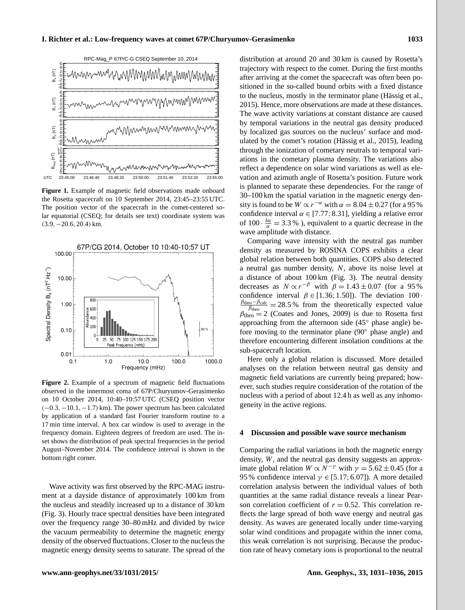

**Figure 1.** Example of magnetic field observations made onboard the Rosetta spacecraft on 10 September 2014, 23:45–23:55 UTC. The position vector of the spacecraft in the comet-centered solar equatorial (CSEQ; for details see text) coordinate system was (3.9,−20.6,20.4) km.

<span id="page-2-0"></span>

**Figure 2.** Example of a spectrum of magnetic field fluctuations observed in the innermost coma of 67P/Churyumov-Gerasimenko on 10 October 2014, 10:40–10:57 UTC (CSEQ position vector  $(-0.3, -10.1, -1.7)$  km). The power spectrum has been calculated by application of a standard fast Fourier transform routine to a 17 min time interval. A box car window is used to average in the frequency domain. Eighteen degrees of freedom are used. The inset shows the distribution of peak spectral frequencies in the period August–November 2014. The confidence interval is shown in the bottom right corner.

Wave activity was first observed by the RPC-MAG instrument at a dayside distance of approximately 100 km from the nucleus and steadily increased up to a distance of 30 km (Fig. [3\)](#page-3-0). Hourly trace spectral densities have been integrated over the frequency range 30–80 mHz and divided by twice the vacuum permeability to determine the magnetic energy density of the observed fluctuations. Closer to the nucleus the magnetic energy density seems to saturate. The spread of the distribution at around 20 and 30 km is caused by Rosetta's trajectory with respect to the comet. During the first months after arriving at the comet the spacecraft was often been positioned in the so-called bound orbits with a fixed distance to the nucleus, mostly in the terminator plane [\(Hässig et al.,](#page-4-13) [2015\)](#page-4-13). Hence, more observations are made at these distances. The wave activity variations at constant distance are caused by temporal variations in the neutral gas density produced by localized gas sources on the nucleus' surface and modulated by the comet's rotation [\(Hässig et al.,](#page-4-13) [2015\)](#page-4-13), leading through the ionization of cometary neutrals to temporal variations in the cometary plasma density. The variations also reflect a dependence on solar wind variations as well as elevation and azimuth angle of Rosetta's position. Future work is planned to separate these dependencies. For the range of 30–100 km the spatial variation in the magnetic energy density is found to be  $W \propto r^{-\alpha}$  with  $\alpha = 8.04 \pm 0.27$  (for a 95 %) confidence interval  $\alpha \in [7.77; 8.31]$ , yielding a relative error of 100 ·  $\frac{\delta \alpha}{\alpha} = 3.3$ %), equivalent to a quartic decrease in the wave amplitude with distance.

Comparing wave intensity with the neutral gas number density as measured by ROSINA COPS exhibits a clear global relation between both quantities. COPS also detected a neutral gas number density, N, above its noise level at a distance of about 100 km (Fig. [3\)](#page-3-0). The neutral density decreases as  $N \propto r^{-\beta}$  with  $\beta = 1.43 \pm 0.07$  (for a 95%) confidence interval  $\beta \in [1.36; 1.50]$ ). The deviation 100 ·  $\frac{\beta_{\text{theo}}-\beta_{\text{calc}}}{\beta_{\text{theo}}}$  = 28.5 % from the theoretically expected value  $\beta_{\text{theo}} = 2$  [\(Coates and Jones,](#page-4-14) [2009\)](#page-4-14) is due to Rosetta first approaching from the afternoon side (45◦ phase angle) before moving to the terminator plane (90◦ phase angle) and therefore encountering different insolation conditions at the sub-spacecraft location.

Here only a global relation is discussed. More detailed analyses on the relation between neutral gas density and magnetic field variations are currently being prepared; however, such studies require consideration of the rotation of the nucleus with a period of about 12.4 h as well as any inhomogeneity in the active regions.

#### **4 Discussion and possible wave source mechanism**

Comparing the radial variations in both the magnetic energy density, W, and the neutral gas density suggests an approximate global relation  $W \propto N^{-\gamma}$  with  $\gamma = 5.62 \pm 0.45$  (for a 95 % confidence interval  $\gamma \in [5.17; 6.07]$ ). A more detailed correlation analysis between the individual values of both quantities at the same radial distance reveals a linear Pearson correlation coefficient of  $r = 0.52$ . This correlation reflects the large spread of both wave energy and neutral gas density. As waves are generated locally under time-varying solar wind conditions and propagate within the inner coma, this weak correlation is not surprising. Because the production rate of heavy cometary ions is proportional to the neutral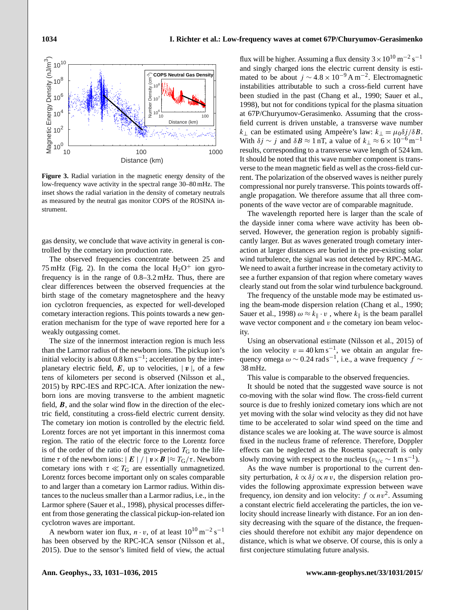<span id="page-3-0"></span>

**Figure 3.** Radial variation in the magnetic energy density of the low-frequency wave activity in the spectral range 30–80 mHz. The inset shows the radial variation in the density of cometary neutrals as measured by the neutral gas monitor COPS of the ROSINA instrument.

gas density, we conclude that wave activity in general is controlled by the cometary ion production rate.

The observed frequencies concentrate between 25 and 75 mHz (Fig. [2\)](#page-2-0). In the coma the local  $H_2O^+$  ion gyrofrequency is in the range of 0.8–3.2 mHz. Thus, there are clear differences between the observed frequencies at the birth stage of the cometary magnetosphere and the heavy ion cyclotron frequencies, as expected for well-developed cometary interaction regions. This points towards a new generation mechanism for the type of wave reported here for a weakly outgassing comet.

The size of the innermost interaction region is much less than the Larmor radius of the newborn ions. The pickup ion's initial velocity is about  $0.8 \text{ km s}^{-1}$ ; acceleration by the interplanetary electric field,  $E$ , up to velocities,  $|v|$ , of a few tens of kilometers per second is observed [\(Nilsson et al.,](#page-4-5) [2015\)](#page-4-5) by RPC-IES and RPC-ICA. After ionization the newborn ions are moving transverse to the ambient magnetic field,  $\bm{B}$ , and the solar wind flow in the direction of the electric field, constituting a cross-field electric current density. The cometary ion motion is controlled by the electric field. Lorentz forces are not yet important in this innermost coma region. The ratio of the electric force to the Lorentz force is of the order of the ratio of the gyro-period  $T<sub>G</sub>$  to the lifetime τ of the newborn ions:  $|E| / |v \times B| \approx T_G / \tau$ . Newborn cometary ions with  $\tau \ll T_G$  are essentially unmagnetized. Lorentz forces become important only on scales comparable to and larger than a cometary ion Larmor radius. Within distances to the nucleus smaller than a Larmor radius, i.e., in the Larmor sphere [\(Sauer et al.,](#page-5-5) [1998\)](#page-5-5), physical processes different from those generating the classical pickup-ion-related ion cyclotron waves are important.

A newborn water ion flux,  $n \cdot v$ , of at least  $10^{10} \text{ m}^{-2} \text{ s}^{-1}$ has been observed by the RPC-ICA sensor [\(Nilsson et al.,](#page-4-5) [2015\)](#page-4-5). Due to the sensor's limited field of view, the actual

flux will be higher. Assuming a flux density  $3 \times 10^{10}$  m<sup>-2</sup> s<sup>-1</sup> and singly charged ions the electric current density is estimated to be about  $j \sim 4.8 \times 10^{-9} \text{ A m}^{-2}$ . Electromagnetic instabilities attributable to such a cross-field current have been studied in the past [\(Chang et al.,](#page-4-15) [1990;](#page-4-15) [Sauer et al.,](#page-5-5) [1998\)](#page-5-5), but not for conditions typical for the plasma situation at 67P/Churyumov-Gerasimenko. Assuming that the crossfield current is driven unstable, a transverse wave number k⊥ can be estimated using Ampeère's law:  $k_\perp = \mu_0 \delta j / \delta B$ . With  $\delta j \sim j$  and  $\delta B \approx 1 \text{ nT}$ , a value of  $k_{\perp} \approx 6 \times 10^{-6} \text{ m}^{-1}$ results, corresponding to a transverse wave length of 524 km. It should be noted that this wave number component is transverse to the mean magnetic field as well as the cross-field current. The polarization of the observed waves is neither purely compressional nor purely transverse. This points towards offangle propagation. We therefore assume that all three components of the wave vector are of comparable magnitude.

The wavelength reported here is larger than the scale of the dayside inner coma where wave activity has been observed. However, the generation region is probably significantly larger. But as waves generated trough cometary interaction at larger distances are buried in the pre-existing solar wind turbulence, the signal was not detected by RPC-MAG. We need to await a further increase in the cometary activity to see a further expansion of that region where cometary waves clearly stand out from the solar wind turbulence background.

The frequency of the unstable mode may be estimated using the beam-mode dispersion relation [\(Chang et al.,](#page-4-15) [1990;](#page-4-15) [Sauer et al.,](#page-5-5) [1998\)](#page-5-5)  $\omega \approx k_{\parallel} \cdot v$ , where  $k_{\parallel}$  is the beam parallel wave vector component and  $v$  the cometary ion beam velocity.

Using an observational estimate [\(Nilsson et al.,](#page-4-5) [2015\)](#page-4-5) of the ion velocity  $v = 40 \text{ km s}^{-1}$ , we obtain an angular frequency omega  $\omega \sim 0.24$  rad s<sup>-1</sup>, i.e., a wave frequency  $f \sim$ 38 mHz.

This value is comparable to the observed frequencies.

It should be noted that the suggested wave source is not co-moving with the solar wind flow. The cross-field current source is due to freshly ionized cometary ions which are not yet moving with the solar wind velocity as they did not have time to be accelerated to solar wind speed on the time and distance scales we are looking at. The wave source is almost fixed in the nucleus frame of reference. Therefore, Doppler effects can be neglected as the Rosetta spacecraft is only slowly moving with respect to the nucleus  $(v<sub>s/c</sub> \sim 1 \text{ m s}^{-1})$ .

As the wave number is proportional to the current density perturbation,  $k \propto \delta j \propto n v$ , the dispersion relation provides the following approximate expression between wave frequency, ion density and ion velocity:  $f \propto nv^2$ . Assuming a constant electric field accelerating the particles, the ion velocity should increase linearly with distance. For an ion density decreasing with the square of the distance, the frequencies should therefore not exhibit any major dependence on distance, which is what we observe. Of course, this is only a first conjecture stimulating future analysis.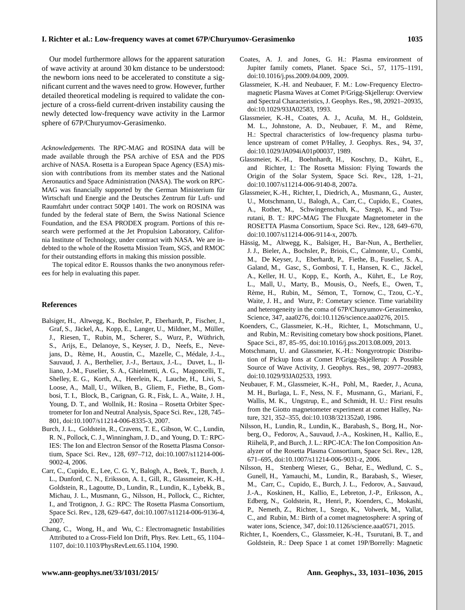#### **I. Richter et al.: Low-frequency waves at comet 67P/Churyumov-Gerasimenko 1035**

Our model furthermore allows for the apparent saturation of wave activity at around 30 km distance to be understood: the newborn ions need to be accelerated to constitute a significant current and the waves need to grow. However, further detailed theoretical modeling is required to validate the conjecture of a cross-field current-driven instability causing the newly detected low-frequency wave activity in the Larmor sphere of 67P/Churyumov-Gerasimenko.

*Acknowledgements.* The RPC-MAG and ROSINA data will be made available through the PSA archive of ESA and the PDS archive of NASA. Rosetta is a European Space Agency (ESA) mission with contributions from its member states and the National Aeronautics and Space Administration (NASA). The work on RPC-MAG was financially supported by the German Ministerium für Wirtschaft und Energie and the Deutsches Zentrum für Luft- und Raumfahrt under contract 50QP 1401. The work on ROSINA was funded by the federal state of Bern, the Swiss National Science Foundation, and the ESA PRODEX program. Portions of this research were performed at the Jet Propulsion Laboratory, California Institute of Technology, under contract with NASA. We are indebted to the whole of the Rosetta Mission Team, SGS, and RMOC for their outstanding efforts in making this mission possible.

The topical editor E. Roussos thanks the two anonymous referees for help in evaluating this paper.

#### **References**

- <span id="page-4-7"></span>Balsiger, H., Altwegg, K., Bochsler, P., Eberhardt, P., Fischer, J., Graf, S., Jäckel, A., Kopp, E., Langer, U., Mildner, M., Müller, J., Riesen, T., Rubin, M., Scherer, S., Wurz, P., Wüthrich, S., Arijs, E., Delanoye, S., Keyser, J. D., Neefs, E., Nevejans, D., Rème, H., Aoustin, C., Mazelle, C., Médale, J.-L., Sauvaud, J. A., Berthelier, J.-J., Bertaux, J.-L., Duvet, L., Illiano, J.-M., Fuselier, S. A., Ghielmetti, A. G., Magoncelli, T., Shelley, E. G., Korth, A., Heerlein, K., Lauche, H., Livi, S., Loose, A., Mall, U., Wilken, B., Gliem, F., Fiethe, B., Gombosi, T. I., Block, B., Carignan, G. R., Fisk, L. A., Waite, J. H., Young, D. T., and Wollnik, H.: Rosina – Rosetta Orbiter Spectrometer for Ion and Neutral Analysis, Space Sci. Rev., 128, 745– 801, doi[:10.1007/s11214-006-8335-3,](http://dx.doi.org/10.1007/s11214-006-8335-3) 2007.
- <span id="page-4-11"></span>Burch, J. L., Goldstein, R., Cravens, T. E., Gibson, W. C., Lundin, R. N., Pollock, C. J., Winningham, J. D., and Young, D. T.: RPC-IES: The Ion and Electron Sensor of the Rosetta Plasma Consortium, Space Sci. Rev., 128, 697–712, doi[:10.1007/s11214-006-](http://dx.doi.org/10.1007/s11214-006-9002-4) [9002-4,](http://dx.doi.org/10.1007/s11214-006-9002-4) 2006.
- <span id="page-4-9"></span>Carr, C., Cupido, E., Lee, C. G. Y., Balogh, A., Beek, T., Burch, J. L., Dunford, C. N., Eriksson, A. I., Gill, R., Glassmeier, K.-H., Goldstein, R., Lagoutte, D., Lundin, R., Lundin, K., Lybekk, B., Michau, J. L., Musmann, G., Nilsson, H., Pollock, C., Richter, I., and Trotignon, J. G.: RPC: The Rosetta Plasma Consortium, Space Sci. Rev., 128, 629–647, doi[:10.1007/s11214-006-9136-4,](http://dx.doi.org/10.1007/s11214-006-9136-4) 2007.
- <span id="page-4-15"></span>Chang, C., Wong, H., and Wu, C.: Electromagnetic Instabilities Attributed to a Cross-Field Ion Drift, Phys. Rev. Lett., 65, 1104– 1107, doi[:10.1103/PhysRevLett.65.1104,](http://dx.doi.org/10.1103/PhysRevLett.65.1104) 1990.
- <span id="page-4-14"></span>Coates, A. J. and Jones, G. H.: Plasma environment of Jupiter family comets, Planet. Space Sci., 57, 1175–1191, doi[:10.1016/j.pss.2009.04.009,](http://dx.doi.org/10.1016/j.pss.2009.04.009) 2009.
- <span id="page-4-2"></span>Glassmeier, K.-H. and Neubauer, F. M.: Low-Frequency Electromagnetic Plasma Waves at Comet P/Grigg-Skjellerup: Overview and Spectral Characteristics, J. Geophys. Res., 98, 20921–20935, doi[:10.1029/93JA02583,](http://dx.doi.org/10.1029/93JA02583) 1993.
- <span id="page-4-1"></span>Glassmeier, K.-H., Coates, A. J., Acuña, M. H., Goldstein, M. L., Johnstone, A. D., Neubauer, F. M., and Rème, H.: Spectral characteristics of low-frequency plasma turbulence upstream of comet P/Halley, J. Geophys. Res., 94, 37, doi[:10.1029/JA094iA01p00037,](http://dx.doi.org/10.1029/JA094iA01p00037) 1989.
- <span id="page-4-4"></span>Glassmeier, K.-H., Boehnhardt, H., Koschny, D., Kührt, E., and Richter, I.: The Rosetta Mission: Flying Towards the Origin of the Solar System, Space Sci. Rev., 128, 1–21, doi[:10.1007/s11214-006-9140-8,](http://dx.doi.org/10.1007/s11214-006-9140-8) 2007a.
- <span id="page-4-10"></span>Glassmeier, K.-H., Richter, I., Diedrich, A., Musmann, G., Auster, U., Motschmann, U., Balogh, A., Carr, C., Cupido, E., Coates, A., Rother, M., Schwingenschuh, K., Szegö, K., and Tsurutani, B. T.: RPC-MAG The Fluxgate Magnetometer in the ROSETTA Plasma Consortium, Space Sci. Rev., 128, 649–670, doi[:10.1007/s11214-006-9114-x,](http://dx.doi.org/10.1007/s11214-006-9114-x) 2007b.
- <span id="page-4-13"></span>Hässig, M., Altwegg, K., Balsiger, H., Bar-Nun, A., Berthelier, J. J., Bieler, A., Bochsler, P., Briois, C., Calmonte, U., Combi, M., De Keyser, J., Eberhardt, P., Fiethe, B., Fuselier, S. A., Galand, M., Gasc, S., Gombosi, T. I., Hansen, K. C., Jäckel, A., Keller, H. U., Kopp, E., Korth, A., Kührt, E., Le Roy, L., Mall, U., Marty, B., Mousis, O., Neefs, E., Owen, T., Rème, H., Rubin, M., Sémon, T., Tornow, C., Tzou, C.-Y., Waite, J. H., and Wurz, P.: Cometary science. Time variability and heterogeneity in the coma of 67P/Churyumov-Gerasimenko, Science, 347, aaa0276, doi[:10.1126/science.aaa0276,](http://dx.doi.org/10.1126/science.aaa0276) 2015.
- <span id="page-4-6"></span>Koenders, C., Glassmeier, K.-H., Richter, I., Motschmann, U., and Rubin, M.: Revisiting cometary bow shock positions, Planet. Space Sci., 87, 85–95, doi[:10.1016/j.pss.2013.08.009,](http://dx.doi.org/10.1016/j.pss.2013.08.009) 2013.
- <span id="page-4-3"></span>Motschmann, U. and Glassmeier, K.-H.: Nongyrotropic Distribution of Pickup Ions at Comet P/Grigg-Skjellerup: A Possible Source of Wave Activity, J. Geophys. Res., 98, 20977–20983, doi[:10.1029/93JA02533,](http://dx.doi.org/10.1029/93JA02533) 1993.
- <span id="page-4-0"></span>Neubauer, F. M., Glassmeier, K.-H., Pohl, M., Raeder, J., Acuna, M. H., Burlaga, L. F., Ness, N. F., Musmann, G., Mariani, F., Wallis, M. K., Ungstrup, E., and Schmidt, H. U.: First results from the Giotto magnetometer experiment at comet Halley, Nature, 321, 352–355, doi[:10.1038/321352a0,](http://dx.doi.org/10.1038/321352a0) 1986.
- <span id="page-4-12"></span>Nilsson, H., Lundin, R., Lundin, K., Barabash, S., Borg, H., Norberg, O., Fedorov, A., Sauvaud, J.-A., Koskinen, H., Kallio, E., Riihelä, P., and Burch, J. L.: RPC-ICA: The Ion Composition Analyzer of the Rosetta Plasma Consortium, Space Sci. Rev., 128, 671–695, doi[:10.1007/s11214-006-9031-z,](http://dx.doi.org/10.1007/s11214-006-9031-z) 2006.
- <span id="page-4-5"></span>Nilsson, H., Stenberg Wieser, G., Behar, E., Wedlund, C. S., Gunell, H., Yamauchi, M., Lundin, R., Barabash, S., Wieser, M., Carr, C., Cupido, E., Burch, J. L., Fedorov, A., Sauvaud, J.-A., Koskinen, H., Kallio, E., Lebreton, J.-P., Eriksson, A., Edberg, N., Goldstein, R., Henri, P., Koenders, C., Mokashi, P., Nemeth, Z., Richter, I., Szego, K., Volwerk, M., Vallat, C., and Rubin, M.: Birth of a comet magnetosphere: A spring of water ions, Science, 347, doi[:10.1126/science.aaa0571,](http://dx.doi.org/10.1126/science.aaa0571) 2015.
- <span id="page-4-8"></span>Richter, I., Koenders, C., Glassmeier, K.-H., Tsurutani, B. T., and Goldstein, R.: Deep Space 1 at comet 19P/Borrelly: Magnetic